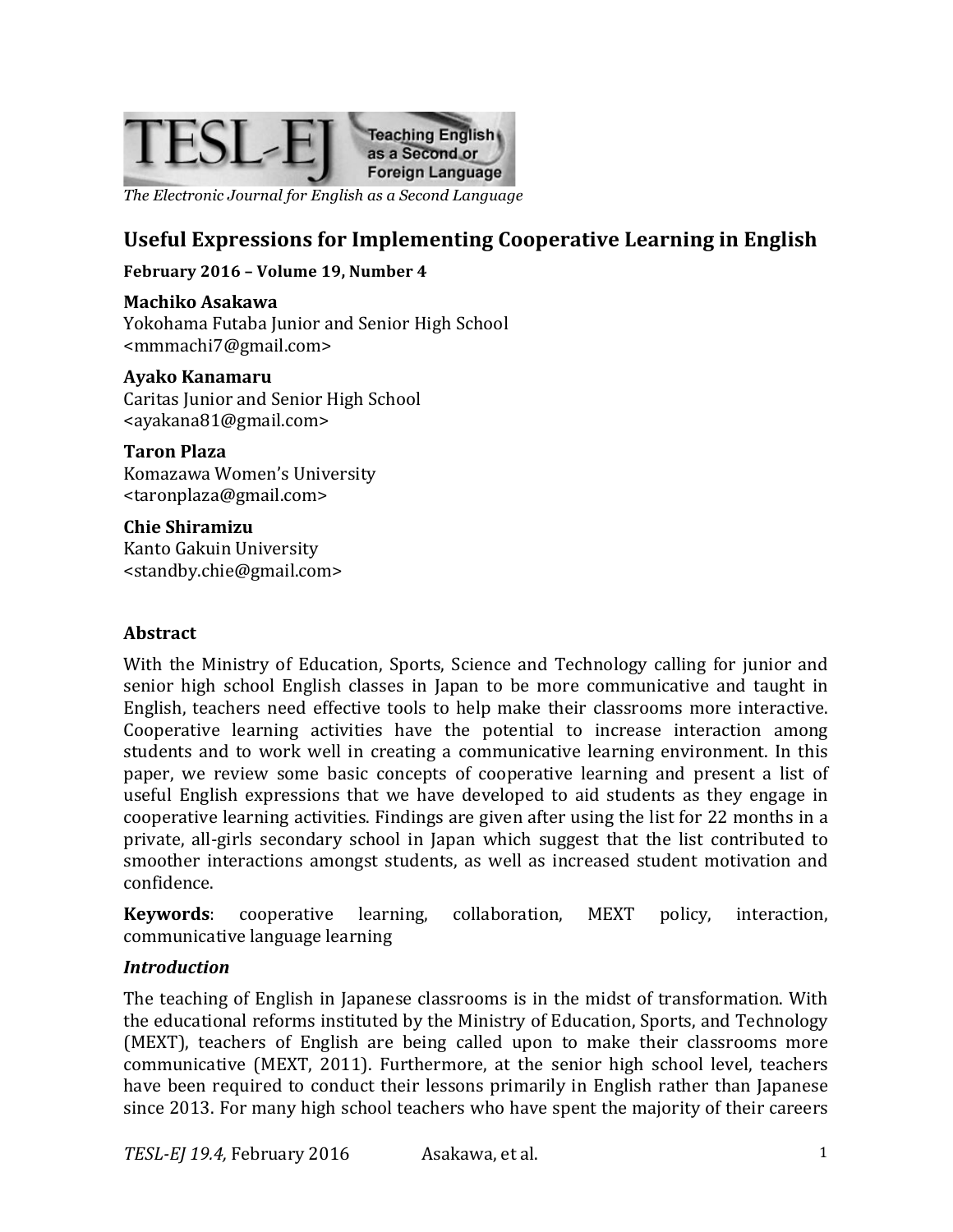

*The Electronic Journal for English as a Second Language*

### **Useful Expressions for Implementing Cooperative Learning in English**

#### **February 2016 - Volume 19, Number 4**

**Machiko Asakawa** Yokohama Futaba Junior and Senior High School <mmmachi7@gmail.com>

#### **Ayako Kanamaru**

Caritas Junior and Senior High School <ayakana81@gmail.com>

#### **Taron Plaza**

Komazawa Women's University <taronplaza@gmail.com>

### **Chie Shiramizu**

Kanto Gakuin University <standby.chie@gmail.com>

#### **Abstract**

With the Ministry of Education, Sports, Science and Technology calling for junior and senior high school English classes in Japan to be more communicative and taught in English, teachers need effective tools to help make their classrooms more interactive. Cooperative learning activities have the potential to increase interaction among students and to work well in creating a communicative learning environment. In this paper, we review some basic concepts of cooperative learning and present a list of useful English expressions that we have developed to aid students as they engage in cooperative learning activities. Findings are given after using the list for 22 months in a private, all-girls secondary school in Japan which suggest that the list contributed to smoother interactions amongst students, as well as increased student motivation and confidence.

**Keywords**: cooperative learning, collaboration, MEXT policy, interaction, communicative language learning

#### *Introduction*

The teaching of English in Japanese classrooms is in the midst of transformation. With the educational reforms instituted by the Ministry of Education, Sports, and Technology (MEXT), teachers of English are being called upon to make their classrooms more communicative  $(MEXT, 2011)$ . Furthermore, at the senior high school level, teachers have been required to conduct their lessons primarily in English rather than Japanese since 2013. For many high school teachers who have spent the majority of their careers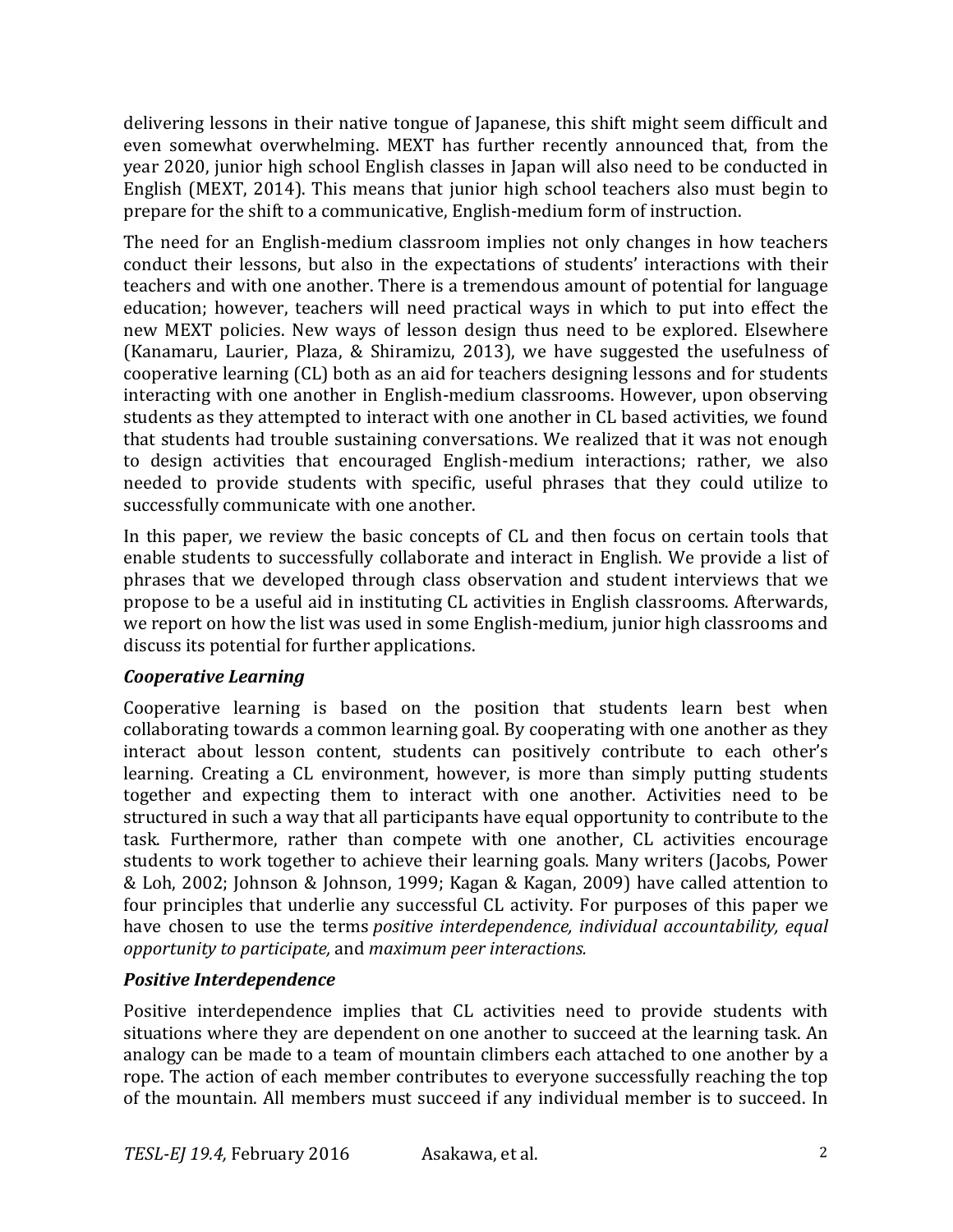delivering lessons in their native tongue of Japanese, this shift might seem difficult and even somewhat overwhelming. MEXT has further recently announced that, from the year 2020, junior high school English classes in Japan will also need to be conducted in English (MEXT, 2014). This means that junior high school teachers also must begin to prepare for the shift to a communicative, English-medium form of instruction.

The need for an English-medium classroom implies not only changes in how teachers conduct their lessons, but also in the expectations of students' interactions with their teachers and with one another. There is a tremendous amount of potential for language education; however, teachers will need practical ways in which to put into effect the new MEXT policies. New ways of lesson design thus need to be explored. Elsewhere (Kanamaru, Laurier, Plaza,  $&$  Shiramizu, 2013), we have suggested the usefulness of cooperative learning (CL) both as an aid for teachers designing lessons and for students interacting with one another in English-medium classrooms. However, upon observing students as they attempted to interact with one another in CL based activities, we found that students had trouble sustaining conversations. We realized that it was not enough to design activities that encouraged English-medium interactions; rather, we also needed to provide students with specific, useful phrases that they could utilize to successfully communicate with one another.

In this paper, we review the basic concepts of CL and then focus on certain tools that enable students to successfully collaborate and interact in English. We provide a list of phrases that we developed through class observation and student interviews that we propose to be a useful aid in instituting CL activities in English classrooms. Afterwards, we report on how the list was used in some English-medium, junior high classrooms and discuss its potential for further applications.

#### *Cooperative Learning*

Cooperative learning is based on the position that students learn best when collaborating towards a common learning goal. By cooperating with one another as they interact about lesson content, students can positively contribute to each other's learning. Creating a CL environment, however, is more than simply putting students together and expecting them to interact with one another. Activities need to be structured in such a way that all participants have equal opportunity to contribute to the task. Furthermore, rather than compete with one another, CL activities encourage students to work together to achieve their learning goals. Many writers (Jacobs, Power & Loh, 2002; Johnson & Johnson, 1999; Kagan & Kagan, 2009) have called attention to four principles that underlie any successful CL activity. For purposes of this paper we have chosen to use the terms *positive interdependence, individual accountability, equal opportunity to participate,* and *maximum peer interactions.*

#### **Positive Interdependence**

Positive interdependence implies that CL activities need to provide students with situations where they are dependent on one another to succeed at the learning task. An analogy can be made to a team of mountain climbers each attached to one another by a rope. The action of each member contributes to everyone successfully reaching the top of the mountain. All members must succeed if any individual member is to succeed. In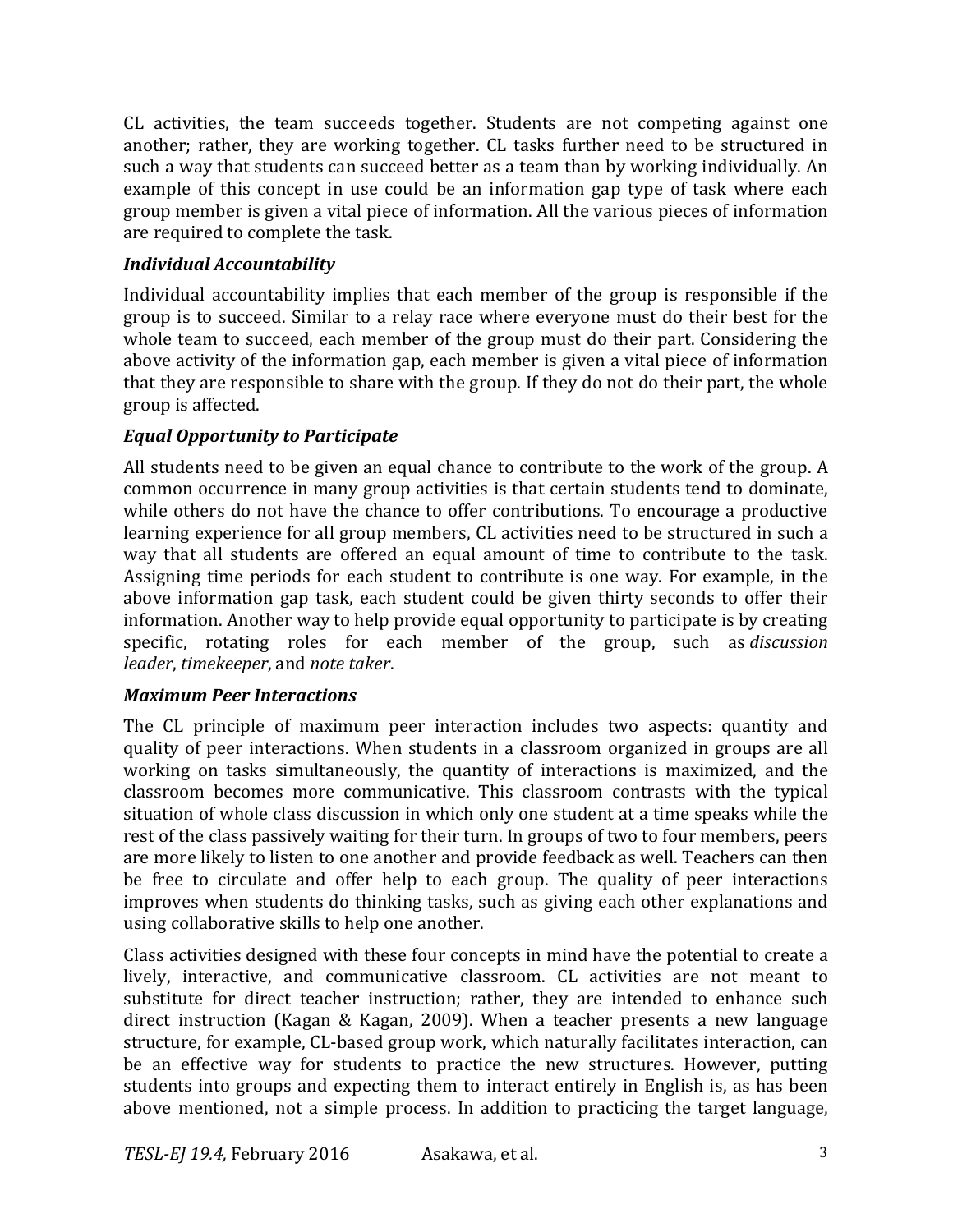CL activities, the team succeeds together. Students are not competing against one another; rather, they are working together. CL tasks further need to be structured in such a way that students can succeed better as a team than by working individually. An example of this concept in use could be an information gap type of task where each group member is given a vital piece of information. All the various pieces of information are required to complete the task.

### *Individual Accountability*

Individual accountability implies that each member of the group is responsible if the group is to succeed. Similar to a relay race where everyone must do their best for the whole team to succeed, each member of the group must do their part. Considering the above activity of the information gap, each member is given a vital piece of information that they are responsible to share with the group. If they do not do their part, the whole group is affected.

### *Equal Opportunity to Participate*

All students need to be given an equal chance to contribute to the work of the group. A common occurrence in many group activities is that certain students tend to dominate, while others do not have the chance to offer contributions. To encourage a productive learning experience for all group members, CL activities need to be structured in such a way that all students are offered an equal amount of time to contribute to the task. Assigning time periods for each student to contribute is one way. For example, in the above information gap task, each student could be given thirty seconds to offer their information. Another way to help provide equal opportunity to participate is by creating specific, rotating roles for each member of the group, such as *discussion leader*, *timekeeper*, and *note taker*.

#### *Maximum Peer Interactions*

The CL principle of maximum peer interaction includes two aspects: quantity and quality of peer interactions. When students in a classroom organized in groups are all working on tasks simultaneously, the quantity of interactions is maximized, and the classroom becomes more communicative. This classroom contrasts with the typical situation of whole class discussion in which only one student at a time speaks while the rest of the class passively waiting for their turn. In groups of two to four members, peers are more likely to listen to one another and provide feedback as well. Teachers can then be free to circulate and offer help to each group. The quality of peer interactions improves when students do thinking tasks, such as giving each other explanations and using collaborative skills to help one another.

Class activities designed with these four concepts in mind have the potential to create a lively, interactive, and communicative classroom. CL activities are not meant to substitute for direct teacher instruction; rather, they are intended to enhance such direct instruction (Kagan & Kagan, 2009). When a teacher presents a new language structure, for example, CL-based group work, which naturally facilitates interaction, can be an effective way for students to practice the new structures. However, putting students into groups and expecting them to interact entirely in English is, as has been above mentioned, not a simple process. In addition to practicing the target language,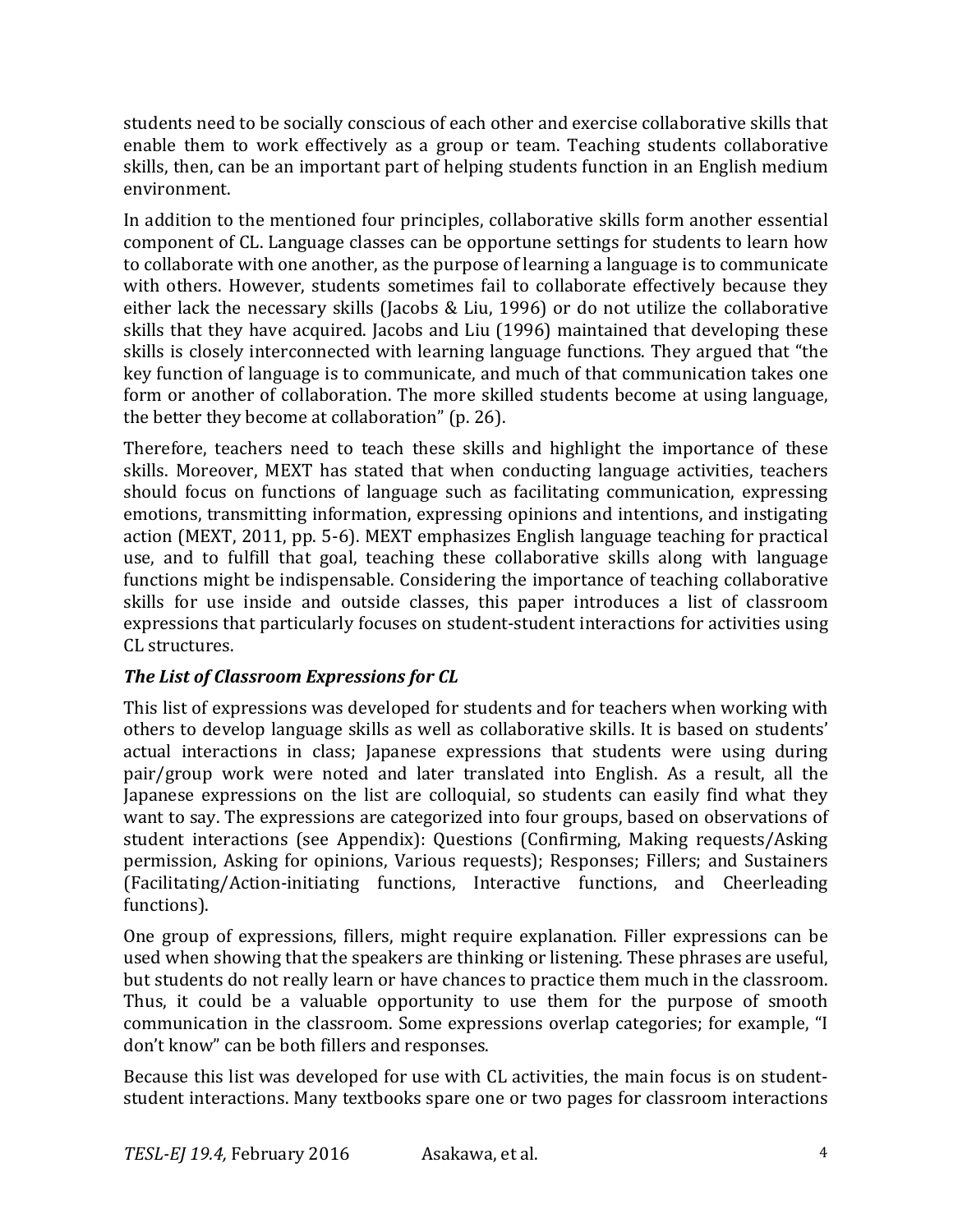students need to be socially conscious of each other and exercise collaborative skills that enable them to work effectively as a group or team. Teaching students collaborative skills, then, can be an important part of helping students function in an English medium environment.

In addition to the mentioned four principles, collaborative skills form another essential component of CL. Language classes can be opportune settings for students to learn how to collaborate with one another, as the purpose of learning a language is to communicate with others. However, students sometimes fail to collaborate effectively because they either lack the necessary skills (Jacobs & Liu, 1996) or do not utilize the collaborative skills that they have acquired. Jacobs and Liu (1996) maintained that developing these skills is closely interconnected with learning language functions. They argued that "the key function of language is to communicate, and much of that communication takes one form or another of collaboration. The more skilled students become at using language, the better they become at collaboration"  $(p. 26)$ .

Therefore, teachers need to teach these skills and highlight the importance of these skills. Moreover, MEXT has stated that when conducting language activities, teachers should focus on functions of language such as facilitating communication, expressing emotions, transmitting information, expressing opinions and intentions, and instigating action (MEXT, 2011, pp. 5-6). MEXT emphasizes English language teaching for practical use, and to fulfill that goal, teaching these collaborative skills along with language functions might be indispensable. Considering the importance of teaching collaborative skills for use inside and outside classes, this paper introduces a list of classroom expressions that particularly focuses on student-student interactions for activities using CL structures.

#### **The List of Classroom Expressions for CL**

This list of expressions was developed for students and for teachers when working with others to develop language skills as well as collaborative skills. It is based on students' actual interactions in class; Japanese expressions that students were using during pair/group work were noted and later translated into English. As a result, all the Japanese expressions on the list are colloquial, so students can easily find what they want to say. The expressions are categorized into four groups, based on observations of student interactions (see Appendix): Questions (Confirming, Making requests/Asking permission, Asking for opinions, Various requests); Responses; Fillers; and Sustainers (Facilitating/Action-initiating functions, Interactive functions, and Cheerleading functions).

One group of expressions, fillers, might require explanation. Filler expressions can be used when showing that the speakers are thinking or listening. These phrases are useful, but students do not really learn or have chances to practice them much in the classroom. Thus, it could be a valuable opportunity to use them for the purpose of smooth communication in the classroom. Some expressions overlap categories; for example, "I don't know" can be both fillers and responses.

Because this list was developed for use with CL activities, the main focus is on studentstudent interactions. Many textbooks spare one or two pages for classroom interactions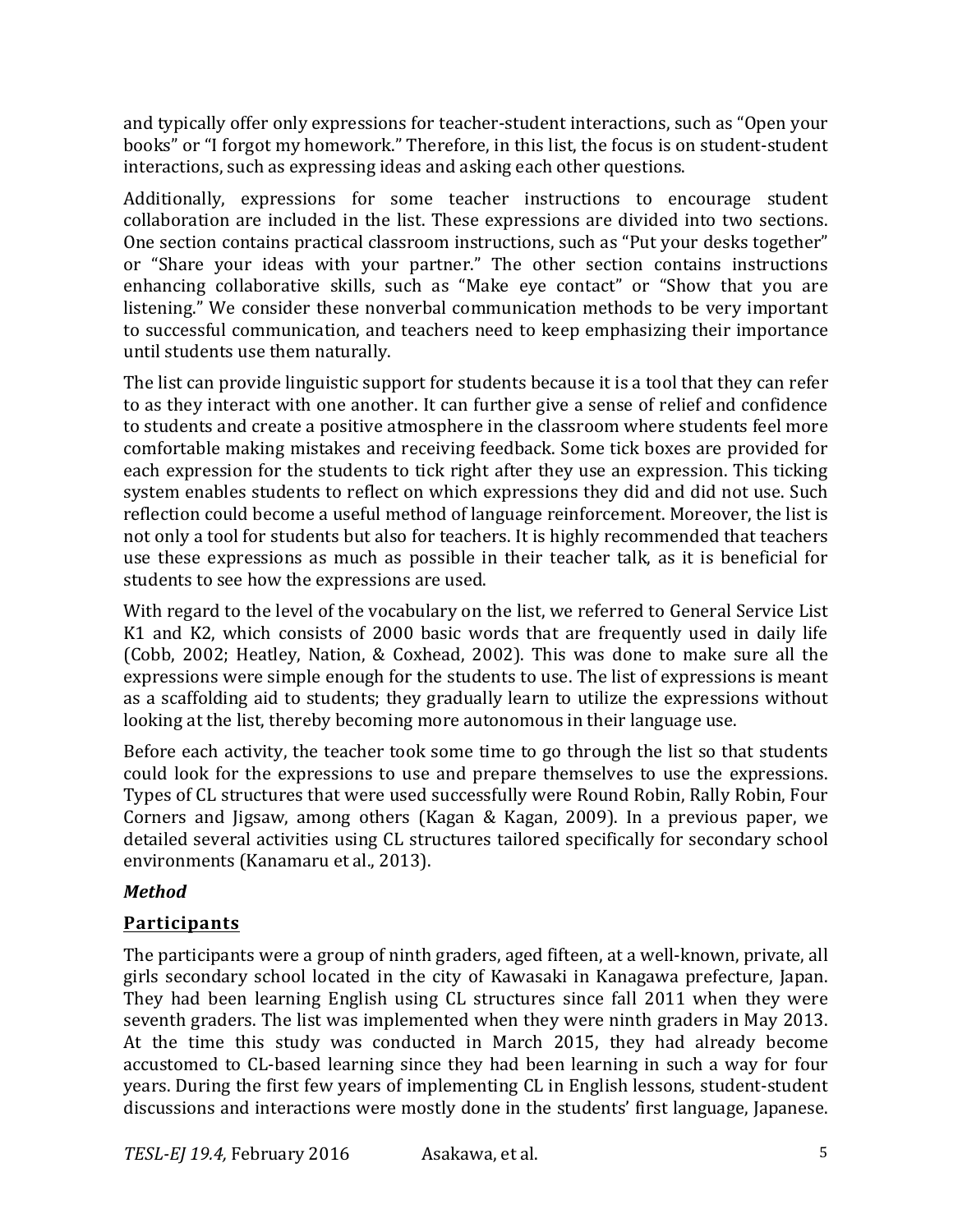and typically offer only expressions for teacher-student interactions, such as "Open your books" or "I forgot my homework." Therefore, in this list, the focus is on student-student interactions, such as expressing ideas and asking each other questions.

Additionally, expressions for some teacher instructions to encourage student collaboration are included in the list. These expressions are divided into two sections. One section contains practical classroom instructions, such as "Put your desks together" or "Share your ideas with your partner." The other section contains instructions enhancing collaborative skills, such as "Make eye contact" or "Show that you are listening." We consider these nonverbal communication methods to be very important to successful communication, and teachers need to keep emphasizing their importance until students use them naturally.

The list can provide linguistic support for students because it is a tool that they can refer to as they interact with one another. It can further give a sense of relief and confidence to students and create a positive atmosphere in the classroom where students feel more comfortable making mistakes and receiving feedback. Some tick boxes are provided for each expression for the students to tick right after they use an expression. This ticking system enables students to reflect on which expressions they did and did not use. Such reflection could become a useful method of language reinforcement. Moreover, the list is not only a tool for students but also for teachers. It is highly recommended that teachers use these expressions as much as possible in their teacher talk, as it is beneficial for students to see how the expressions are used.

With regard to the level of the vocabulary on the list, we referred to General Service List K1 and K2, which consists of 2000 basic words that are frequently used in daily life (Cobb, 2002; Heatley, Nation, & Coxhead, 2002). This was done to make sure all the expressions were simple enough for the students to use. The list of expressions is meant as a scaffolding aid to students; they gradually learn to utilize the expressions without looking at the list, thereby becoming more autonomous in their language use.

Before each activity, the teacher took some time to go through the list so that students could look for the expressions to use and prepare themselves to use the expressions. Types of CL structures that were used successfully were Round Robin, Rally Robin, Four Corners and Jigsaw, among others (Kagan & Kagan, 2009). In a previous paper, we detailed several activities using CL structures tailored specifically for secondary school environments (Kanamaru et al., 2013).

### *Method*

### **Participants**

The participants were a group of ninth graders, aged fifteen, at a well-known, private, all girls secondary school located in the city of Kawasaki in Kanagawa prefecture, Japan. They had been learning English using CL structures since fall 2011 when they were seventh graders. The list was implemented when they were ninth graders in May 2013. At the time this study was conducted in March 2015, they had already become accustomed to CL-based learning since they had been learning in such a way for four years. During the first few years of implementing CL in English lessons, student-student discussions and interactions were mostly done in the students' first language, Japanese.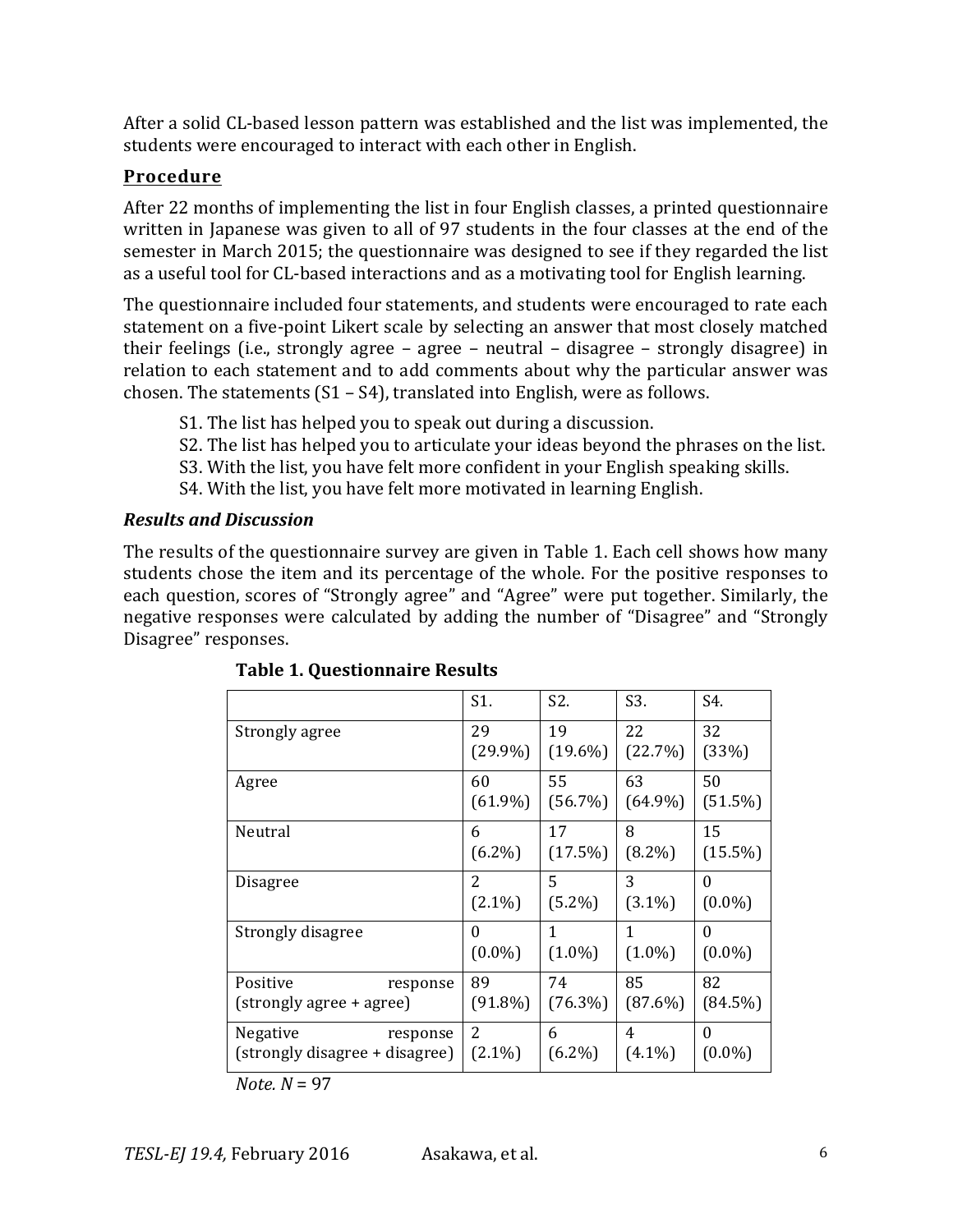After a solid CL-based lesson pattern was established and the list was implemented, the students were encouraged to interact with each other in English.

### **Procedure**

After 22 months of implementing the list in four English classes, a printed questionnaire written in Japanese was given to all of 97 students in the four classes at the end of the semester in March 2015; the questionnaire was designed to see if they regarded the list as a useful tool for CL-based interactions and as a motivating tool for English learning.

The questionnaire included four statements, and students were encouraged to rate each statement on a five-point Likert scale by selecting an answer that most closely matched their feelings (i.e., strongly agree  $-$  agree  $-$  neutral  $-$  disagree  $-$  strongly disagree) in relation to each statement and to add comments about why the particular answer was chosen. The statements  $(S1 - S4)$ , translated into English, were as follows.

- S1. The list has helped you to speak out during a discussion.
- S2. The list has helped you to articulate your ideas beyond the phrases on the list.
- S3. With the list, you have felt more confident in your English speaking skills.
- S4. With the list, you have felt more motivated in learning English.

#### *Results and Discussion*

The results of the questionnaire survey are given in Table 1. Each cell shows how many students chose the item and its percentage of the whole. For the positive responses to each question, scores of "Strongly agree" and "Agree" were put together. Similarly, the negative responses were calculated by adding the number of "Disagree" and "Strongly Disagree" responses.

|                                                        | S1.              | S2.              | S3.              | S4.                   |
|--------------------------------------------------------|------------------|------------------|------------------|-----------------------|
| Strongly agree                                         | 29               | 19               | 22               | 32                    |
|                                                        | $(29.9\%)$       | $(19.6\%)$       | (22.7%)          | (33%)                 |
| Agree                                                  | 60               | 55               | 63               | 50                    |
|                                                        | $(61.9\%)$       | (56.7%)          | $(64.9\%)$       | (51.5%)               |
| Neutral                                                | 6                | 17               | 8                | 15                    |
|                                                        | $(6.2\%)$        | (17.5%)          | $(8.2\%)$        | $(15.5\%)$            |
| Disagree                                               | 2                | 5                | 3                | $\theta$              |
|                                                        | $(2.1\%)$        | $(5.2\%)$        | $(3.1\%)$        | $(0.0\%)$             |
| Strongly disagree                                      | $\Omega$         | 1                | $\mathbf{1}$     | $\Omega$              |
|                                                        | $(0.0\%)$        | $(1.0\%)$        | $(1.0\%)$        | $(0.0\%)$             |
| Positive<br>response<br>(strongly agree + agree)       | 89<br>$(91.8\%)$ | 74<br>$(76.3\%)$ | 85<br>$(87.6\%)$ | 82<br>$(84.5\%)$      |
| Negative<br>response<br>(strongly disagree + disagree) | 2<br>$(2.1\%)$   | 6<br>$(6.2\%)$   | 4<br>$(4.1\%)$   | $\Omega$<br>$(0.0\%)$ |

**Table 1. Questionnaire Results**

 $Note. N = 97$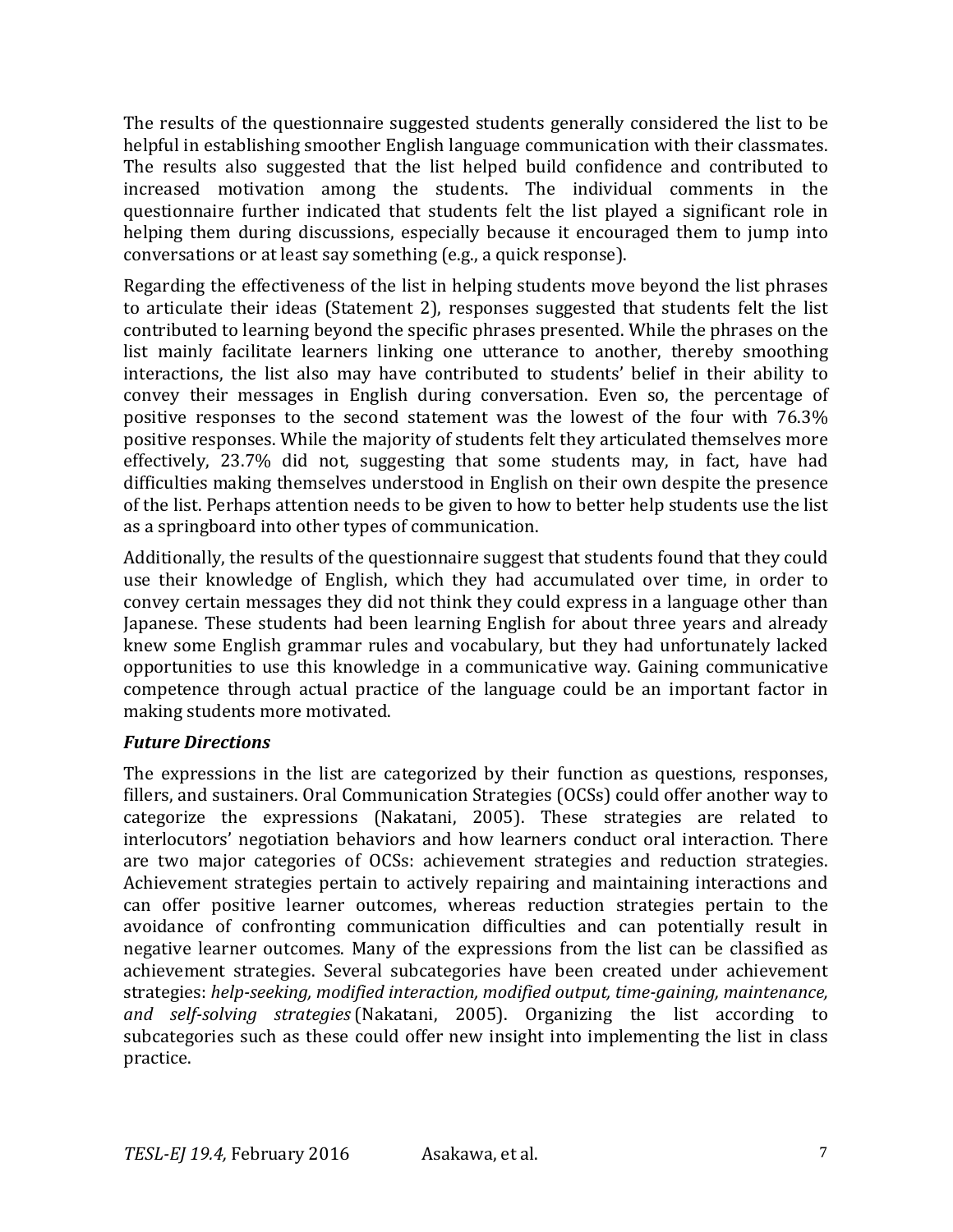The results of the questionnaire suggested students generally considered the list to be helpful in establishing smoother English language communication with their classmates. The results also suggested that the list helped build confidence and contributed to increased motivation among the students. The individual comments in the questionnaire further indicated that students felt the list played a significant role in helping them during discussions, especially because it encouraged them to jump into conversations or at least say something (e.g., a quick response).

Regarding the effectiveness of the list in helping students move beyond the list phrases to articulate their ideas (Statement 2), responses suggested that students felt the list contributed to learning beyond the specific phrases presented. While the phrases on the list mainly facilitate learners linking one utterance to another, thereby smoothing interactions, the list also may have contributed to students' belief in their ability to convey their messages in English during conversation. Even so, the percentage of positive responses to the second statement was the lowest of the four with  $76.3\%$ positive responses. While the majority of students felt they articulated themselves more effectively, 23.7% did not, suggesting that some students may, in fact, have had difficulties making themselves understood in English on their own despite the presence of the list. Perhaps attention needs to be given to how to better help students use the list as a springboard into other types of communication.

Additionally, the results of the questionnaire suggest that students found that they could use their knowledge of English, which they had accumulated over time, in order to convey certain messages they did not think they could express in a language other than Japanese. These students had been learning English for about three years and already knew some English grammar rules and vocabulary, but they had unfortunately lacked opportunities to use this knowledge in a communicative way. Gaining communicative competence through actual practice of the language could be an important factor in making students more motivated.

#### *Future Directions*

The expressions in the list are categorized by their function as questions, responses, fillers, and sustainers. Oral Communication Strategies (OCSs) could offer another way to categorize the expressions (Nakatani, 2005). These strategies are related to interlocutors' negotiation behaviors and how learners conduct oral interaction. There are two major categories of OCSs: achievement strategies and reduction strategies. Achievement strategies pertain to actively repairing and maintaining interactions and can offer positive learner outcomes, whereas reduction strategies pertain to the avoidance of confronting communication difficulties and can potentially result in negative learner outcomes. Many of the expressions from the list can be classified as achievement strategies. Several subcategories have been created under achievement strategies: *help-seeking, modified interaction, modified output, time-gaining, maintenance, and self-solving strategies* (Nakatani, 2005). Organizing the list according to subcategories such as these could offer new insight into implementing the list in class practice.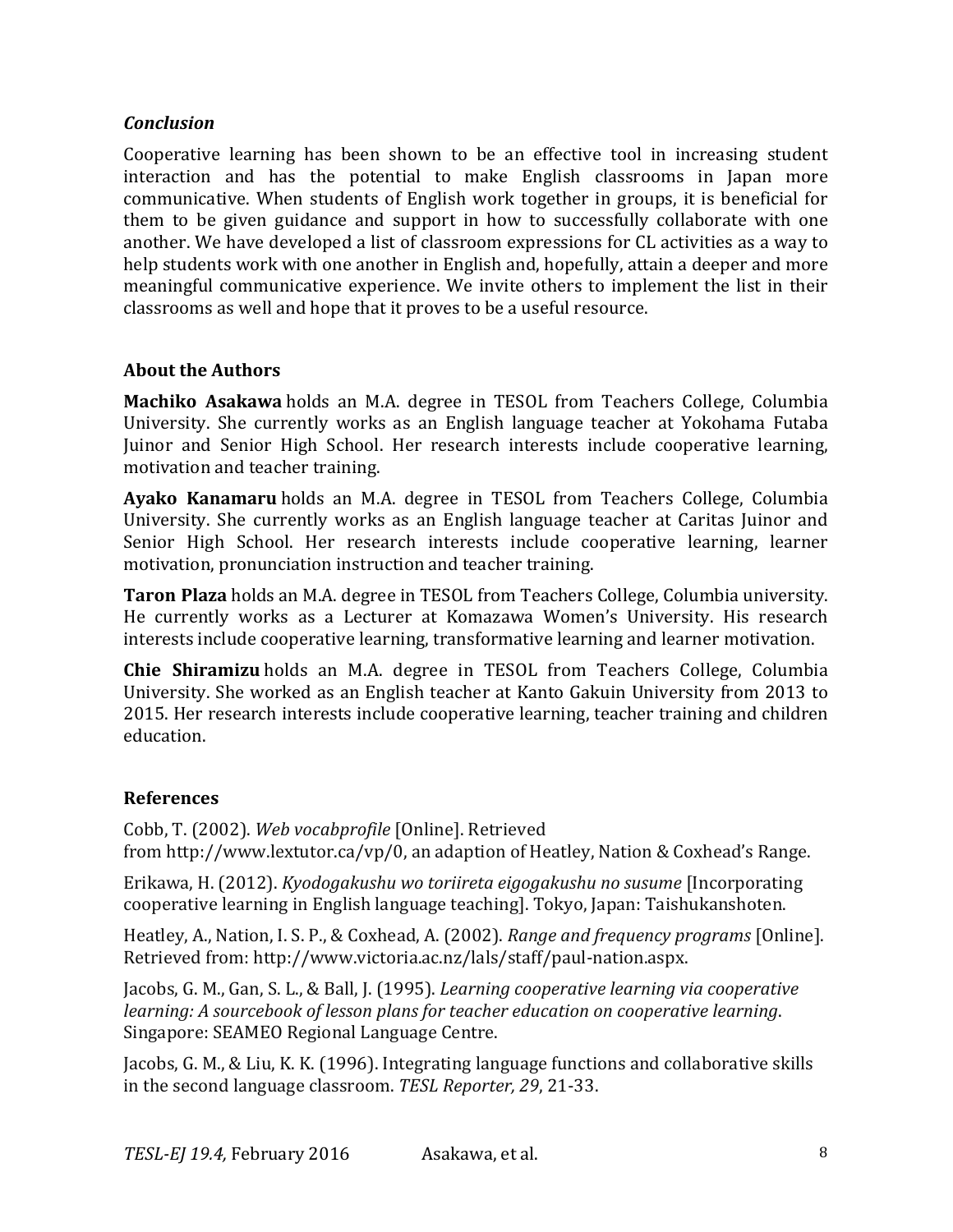#### *Conclusion*

Cooperative learning has been shown to be an effective tool in increasing student interaction and has the potential to make English classrooms in Japan more communicative. When students of English work together in groups, it is beneficial for them to be given guidance and support in how to successfully collaborate with one another. We have developed a list of classroom expressions for CL activities as a way to help students work with one another in English and, hopefully, attain a deeper and more meaningful communicative experience. We invite others to implement the list in their classrooms as well and hope that it proves to be a useful resource.

#### **About the Authors**

**Machiko Asakawa** holds an M.A. degree in TESOL from Teachers College, Columbia University. She currently works as an English language teacher at Yokohama Futaba Juinor and Senior High School. Her research interests include cooperative learning, motivation and teacher training.

**Ayako Kanamaru** holds an M.A. degree in TESOL from Teachers College, Columbia University. She currently works as an English language teacher at Caritas Juinor and Senior High School. Her research interests include cooperative learning, learner motivation, pronunciation instruction and teacher training.

**Taron Plaza** holds an M.A. degree in TESOL from Teachers College, Columbia university. He currently works as a Lecturer at Komazawa Women's University. His research interests include cooperative learning, transformative learning and learner motivation.

**Chie Shiramizu** holds an M.A. degree in TESOL from Teachers College, Columbia University. She worked as an English teacher at Kanto Gakuin University from 2013 to 2015. Her research interests include cooperative learning, teacher training and children education.

#### **References**

Cobb, T. (2002). *Web vocabprofile* [Online]. Retrieved from http://www.lextutor.ca/vp/0, an adaption of Heatley, Nation & Coxhead's Range.

Erikawa, H. (2012). *Kyodogakushu wo toriireta eigogakushu no susume* [Incorporating cooperative learning in English language teaching]. Tokyo, Japan: Taishukanshoten.

Heatley, A., Nation, I. S. P., & Coxhead, A. (2002). *Range and frequency programs* [Online]. Retrieved from: http://www.victoria.ac.nz/lals/staff/paul-nation.aspx.

Jacobs, G. M., Gan, S. L., & Ball, J. (1995). *Learning cooperative learning via cooperative learning: A sourcebook of lesson plans for teacher education on cooperative learning*. Singapore: SEAMEO Regional Language Centre.

Jacobs, G. M., & Liu, K. K. (1996). Integrating language functions and collaborative skills in the second language classroom. TESL Reporter, 29, 21-33.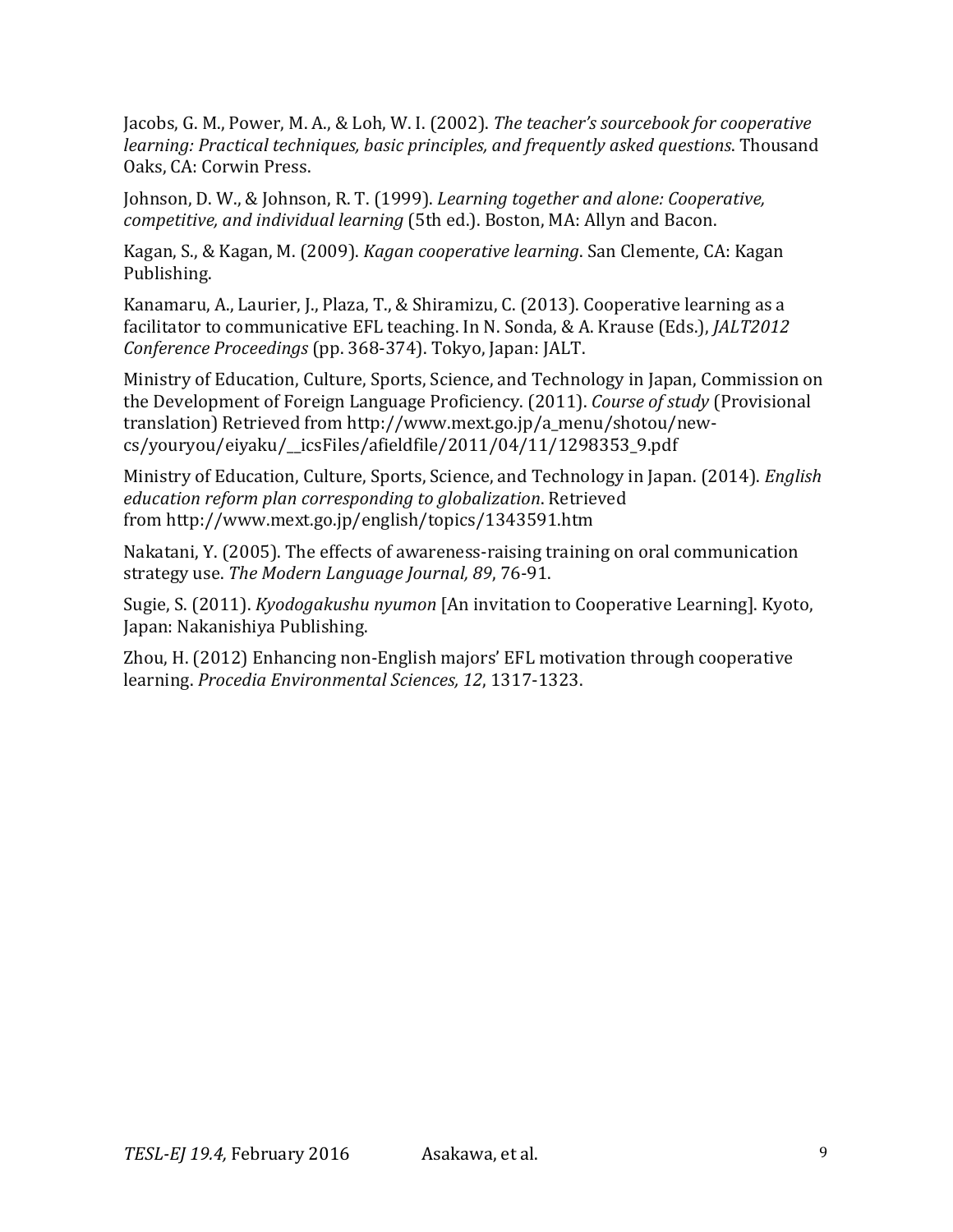Jacobs, G. M., Power, M. A., & Loh, W. I. (2002). *The teacher's sourcebook for cooperative learning: Practical techniques, basic principles, and frequently asked questions*. Thousand Oaks, CA: Corwin Press.

Johnson, D. W., & Johnson, R. T. (1999). *Learning together and alone: Cooperative, competitive, and individual learning* (5th ed.). Boston, MA: Allyn and Bacon.

Kagan, S., & Kagan, M. (2009). *Kagan cooperative learning*. San Clemente, CA: Kagan Publishing.

Kanamaru, A., Laurier, J., Plaza, T., & Shiramizu, C. (2013). Cooperative learning as a facilitator to communicative EFL teaching. In N. Sonda, & A. Krause (Eds.), *JALT2012 Conference Proceedings* (pp. 368-374). Tokyo, Japan: JALT.

Ministry of Education, Culture, Sports, Science, and Technology in Japan, Commission on the Development of Foreign Language Proficiency. (2011). *Course of study* (Provisional translation) Retrieved from http://www.mext.go.jp/a\_menu/shotou/newcs/youryou/eiyaku/\_\_icsFiles/afieldfile/2011/04/11/1298353\_9.pdf

Ministry of Education, Culture, Sports, Science, and Technology in Japan. (2014). *English education reform plan corresponding to globalization*. Retrieved from http://www.mext.go.jp/english/topics/1343591.htm

Nakatani, Y. (2005). The effects of awareness-raising training on oral communication strategy use. The Modern Language Journal, 89, 76-91.

Sugie, S. (2011). *Kyodogakushu nyumon* [An invitation to Cooperative Learning]. Kyoto, Japan: Nakanishiya Publishing.

Zhou, H. (2012) Enhancing non-English majors' EFL motivation through cooperative learning. *Procedia Environmental Sciences, 12*, 1317-1323.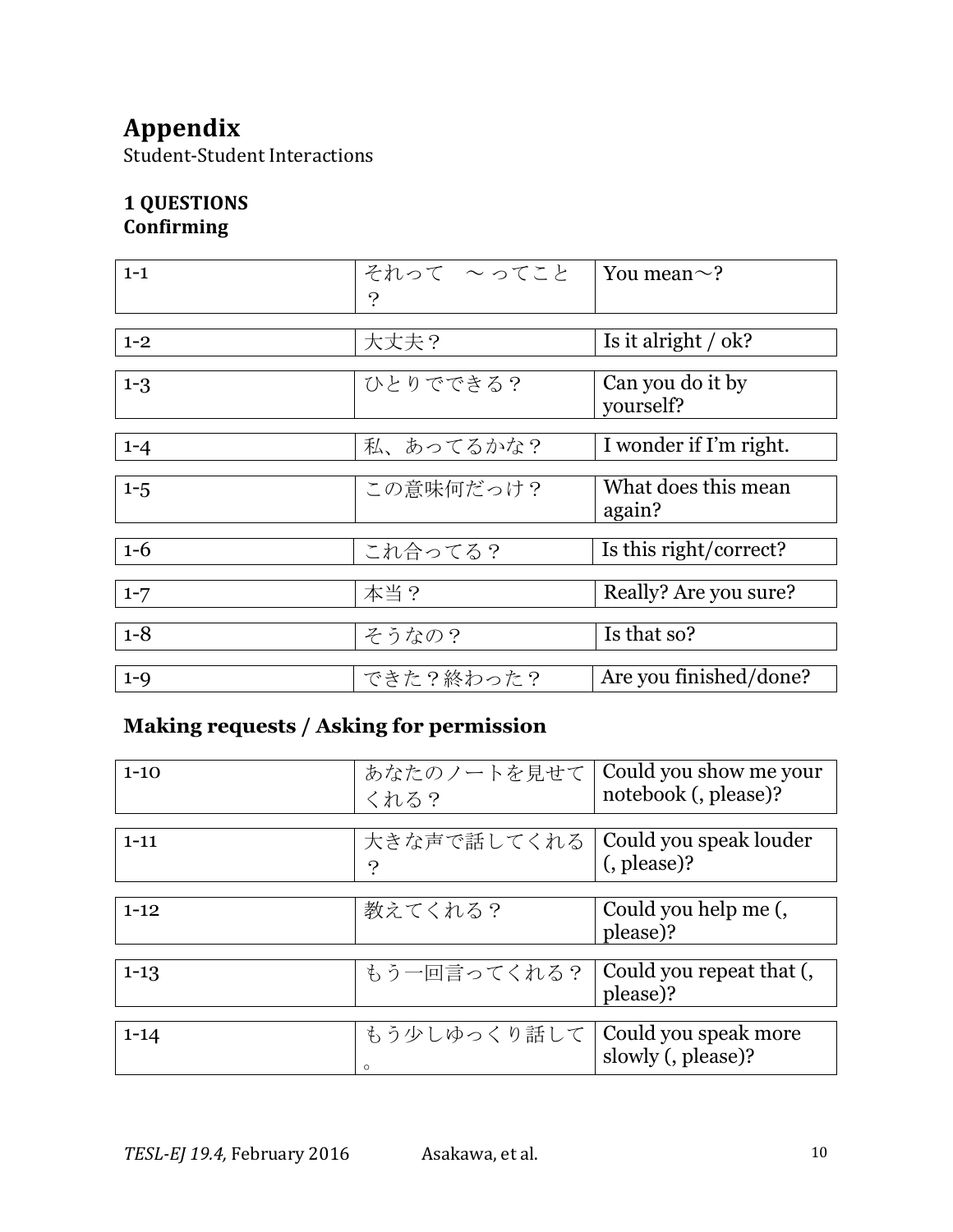# **Appendix**

Student-Student Interactions

# **1 QUESTIONS**

**Confirming**

| $1 - 1$ | それって ~ってこと | You mean $\sim$ ?                           |
|---------|------------|---------------------------------------------|
|         | $\cdot$    |                                             |
| $1 - 2$ | 大丈夫?       | Is it alright $\frac{\partial}{\partial x}$ |
| $1 - 3$ | ひとりでできる?   | Can you do it by<br>yourself?               |
| $1 - 4$ | 私、あってるかな?  | I wonder if I'm right.                      |
| $1 - 5$ | この意味何だっけ?  | What does this mean<br>again?               |
| $1 - 6$ | これ合ってる?    | Is this right/correct?                      |
| $1 - 7$ | 本当?        | Really? Are you sure?                       |
| $1 - 8$ | そうなの?      | Is that so?                                 |
| $1 - 9$ | できた?終わった?  | Are you finished/done?                      |

# **Making requests / Asking for permission**

| $1 - 10$ | あなたのノートを見せて   Could you show me your<br>くれる?                       | notebook (, please)?             |
|----------|--------------------------------------------------------------------|----------------------------------|
| $1 - 11$ | 大きな声で話してくれる   Could you speak louder<br>$\boldsymbol{\mathcal{P}}$ | (, please)?                      |
| $1 - 12$ | 教えてくれる?                                                            | Could you help me (,<br>please)? |
| $1 - 13$ | もう一回言ってくれる?   Could you repeat that (,                             | please)?                         |
| $1 - 14$ | もう少しゆっくり話して   Could you speak more<br>$\circ$                      | slowly (, please)?               |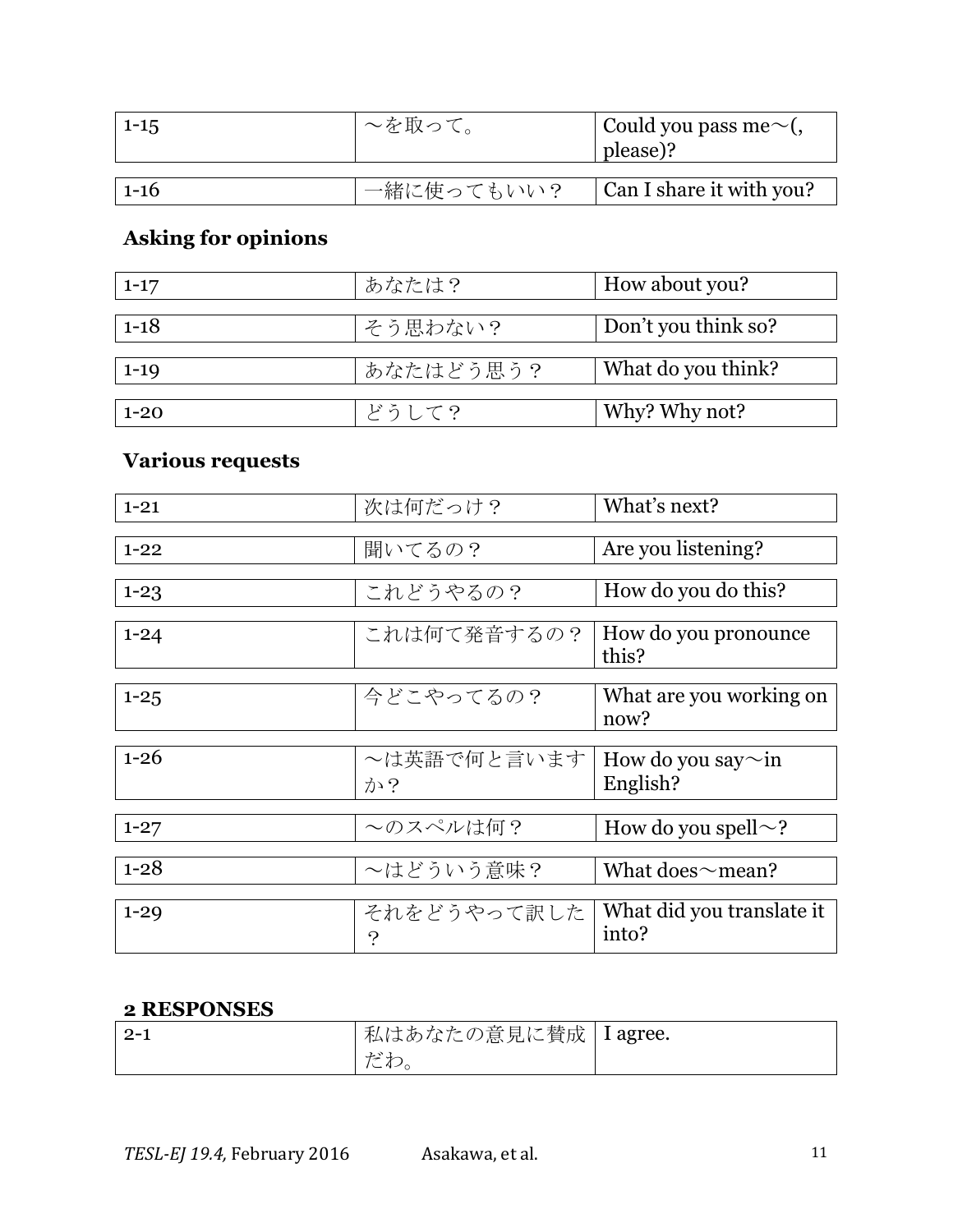| $1 - 15$ | ~を取って。     | Could you pass me $\sim$ (<br>$ $ please)? |
|----------|------------|--------------------------------------------|
|          |            |                                            |
| $1 - 16$ | 一緒に使ってもいい? | Can I share it with you?                   |

# **Asking for opinions**

| $1 - 17$ | あなたは?     | How about you?      |
|----------|-----------|---------------------|
|          |           |                     |
| $1 - 18$ | そう思わない?   | Don't you think so? |
|          |           |                     |
| $1 - 19$ | あなたはどう思う? | What do you think?  |
|          |           |                     |
| $1 - 20$ | どうして?     | Why? Why not?       |

# **Various requests**

| $1 - 21$ | 次は何だっけ?                    | What's next?                       |
|----------|----------------------------|------------------------------------|
|          |                            |                                    |
| $1 - 22$ | 聞いてるの?                     | Are you listening?                 |
|          |                            |                                    |
| $1 - 23$ | これどうやるの?                   | How do you do this?                |
|          |                            |                                    |
| $1 - 24$ | これは何て発音するの?                | How do you pronounce<br>this?      |
|          |                            |                                    |
| $1 - 25$ | 今どこやってるの?                  | What are you working on<br>now?    |
|          |                            |                                    |
| $1 - 26$ | ~は英語で何と言います                | How do you say $\sim$ in           |
|          | か?                         | English?                           |
|          |                            |                                    |
| $1 - 27$ | ~のスペルは何?                   | How do you spell $\sim$ ?          |
|          |                            |                                    |
| $1 - 28$ | ~はどういう意味?                  | What does $\sim$ mean?             |
|          |                            |                                    |
| $1 - 29$ | それをどうやって訳した<br>$\tilde{?}$ | What did you translate it<br>into? |

### **2 RESPONSES**

| $\mid 2-1$ | 私はあなたの意見に賛成   I agree. |  |
|------------|------------------------|--|
|            | よぶわ<br>$-9$ / $\circ$  |  |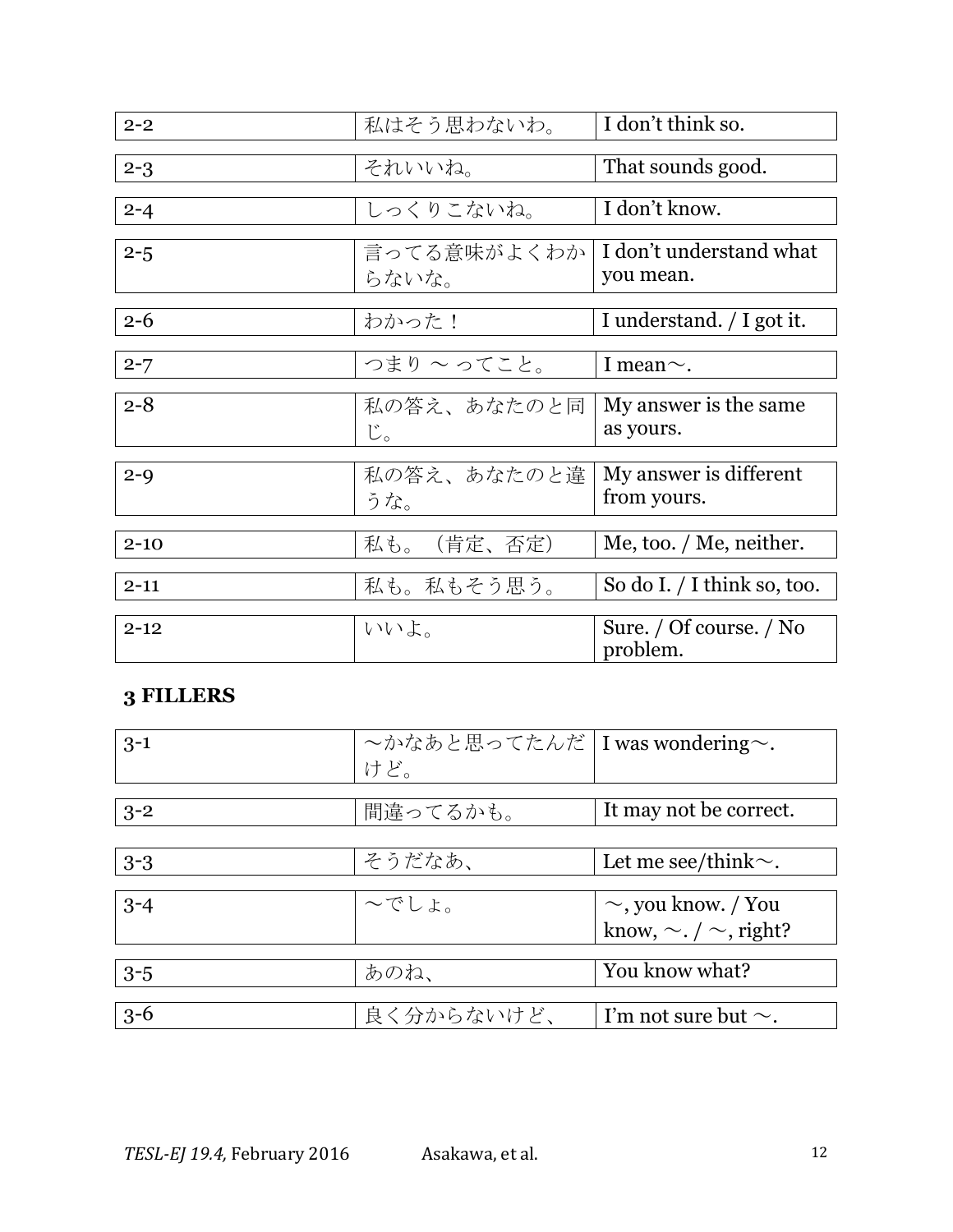| $2 - 2$  | 私はそう思わないわ。           | I don't think so.                    |
|----------|----------------------|--------------------------------------|
|          |                      |                                      |
| $2 - 3$  | それいいね。               | That sounds good.                    |
|          |                      |                                      |
| $2 - 4$  | しっくりこないね。            | I don't know.                        |
|          |                      |                                      |
| $2 - 5$  | 言ってる意味がよくわか<br>らないな。 | I don't understand what<br>you mean. |
|          |                      |                                      |
|          |                      |                                      |
| $2 - 6$  | わかった!                | I understand. / I got it.            |
|          |                      |                                      |
| $2 - 7$  | つまりへってこと。            | I mean $\sim$ .                      |
|          |                      |                                      |
| $2 - 8$  | 私の答え、あなたのと同          | My answer is the same.               |
|          | じ。                   | as yours.                            |
|          |                      |                                      |
|          |                      |                                      |
| $2 - 9$  | 私の答え、あなたのと違          | My answer is different               |
|          |                      | from yours.                          |
|          | うな。                  |                                      |
|          |                      |                                      |
| $2 - 10$ | (肯定、否定)<br>私も。       | Me, too. / Me, neither.              |
|          |                      |                                      |
| $2 - 11$ | 私も。私もそう思う。           | So do I. $/$ I think so, too.        |
|          |                      |                                      |
|          |                      |                                      |
| $2 - 12$ | いいよ。                 | Sure. / Of course. / No              |
|          |                      | problem.                             |
|          |                      |                                      |

## **3 FILLERS**

| $3 - 1$ | l ~かなあと思ってたんだ I was wondering~.<br>けど。 |                                  |
|---------|----------------------------------------|----------------------------------|
|         |                                        |                                  |
|         |                                        |                                  |
| $3 - 2$ | 間違ってるかも。                               | It may not be correct.           |
|         |                                        |                                  |
| $3 - 3$ | そうだなあ、                                 | Let me see/think $\sim$ .        |
|         |                                        |                                  |
| $3 - 4$ | へでしょ。                                  | $\sim$ , you know. / You         |
|         |                                        | know, $\sim$ . / $\sim$ , right? |
|         |                                        |                                  |
| $3 - 5$ | あのね、                                   | You know what?                   |
|         |                                        |                                  |
| $3 - 6$ | 良く分からないけど、                             | I'm not sure but $\sim$ .        |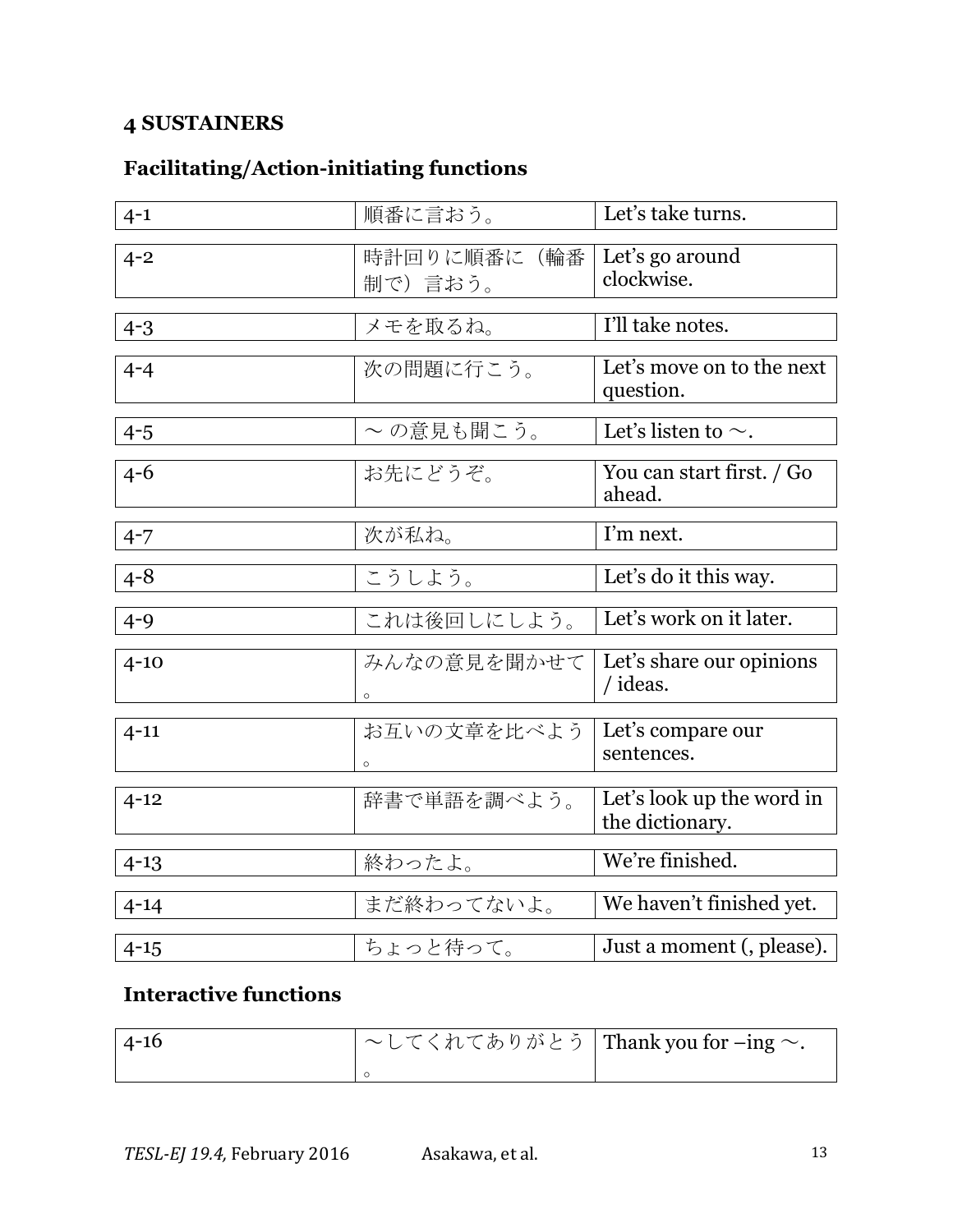# **4 SUSTAINERS**

# **Facilitating/Action-initiating functions**

| $4 - 1$  | 順番に言おう。                | Let's take turns.                            |
|----------|------------------------|----------------------------------------------|
| $4 - 2$  | 時計回りに順番に(輪番<br>制で)言おう。 | Let's go around<br>clockwise.                |
| $4 - 3$  | メモを取るね。                | I'll take notes.                             |
| $4 - 4$  | 次の問題に行こう。              | Let's move on to the next<br>question.       |
| $4 - 5$  | ~の意見も聞こう。              | Let's listen to $\sim$ .                     |
| $4 - 6$  | お先にどうぞ。                | You can start first. / Go<br>ahead.          |
| $4 - 7$  | 次が私ね。                  | I'm next.                                    |
| $4 - 8$  | こうしよう。                 | Let's do it this way.                        |
| $4 - 9$  | これは後回しにしよう。            | Let's work on it later.                      |
| $4 - 10$ | みんなの意見を聞かせて<br>$\circ$ | Let's share our opinions<br>/ ideas.         |
| $4 - 11$ | お互いの文章を比べよう            | Let's compare our<br>sentences.              |
| $4 - 12$ | 辞書で単語を調べよう。            | Let's look up the word in<br>the dictionary. |
| $4 - 13$ | 終わったよ。                 | We're finished.                              |
| $4 - 14$ | まだ終わってないよ。             | We haven't finished yet.                     |
| $4 - 15$ | ちょっと待って。               | Just a moment (, please).                    |

## **Interactive functions**

| $-4-16$ | $\sim$ してくれてありがとう Thank you for -ing $\sim$ . |  |
|---------|-----------------------------------------------|--|
|         |                                               |  |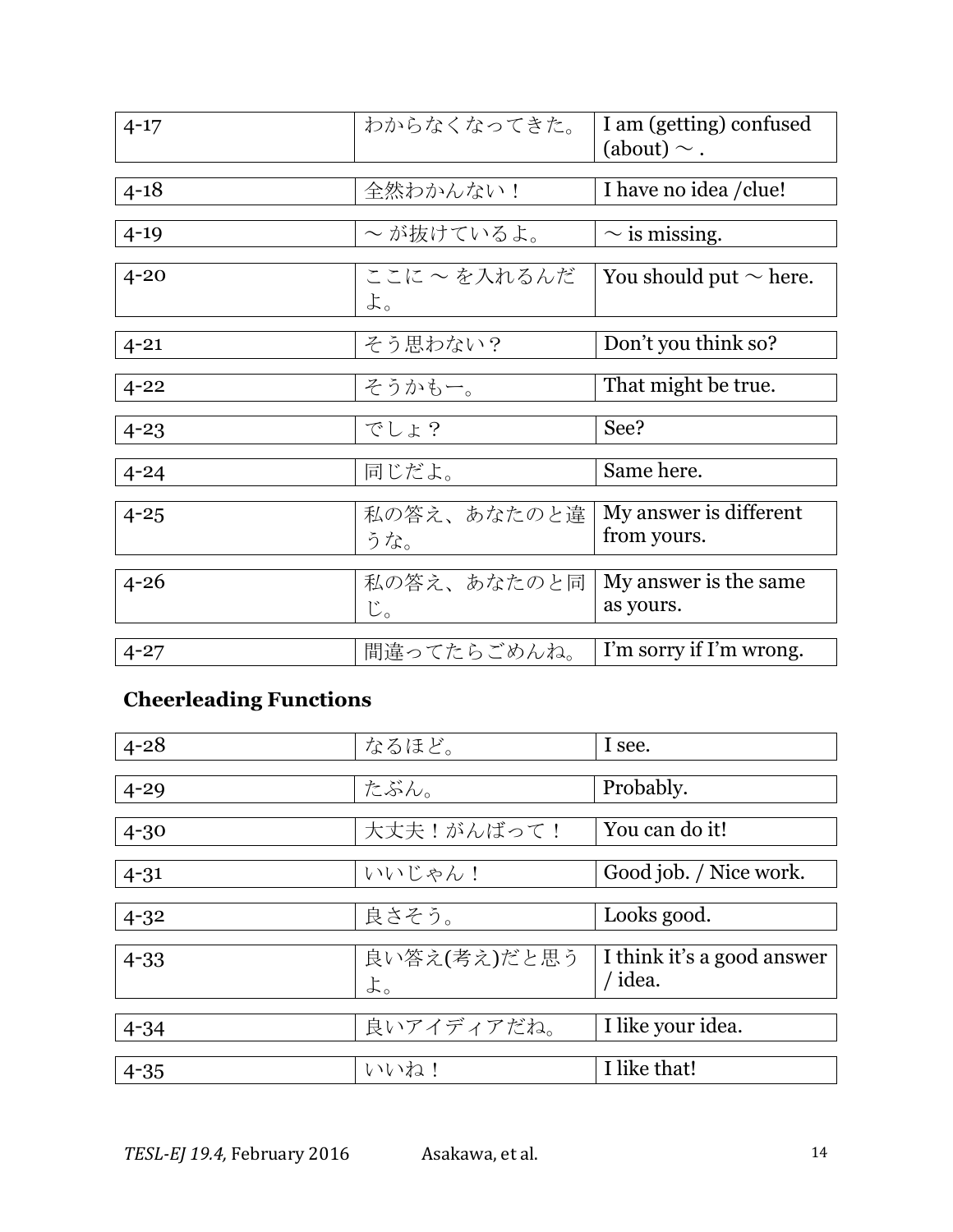| $4 - 17$ | わからなくなってきた。        | I am (getting) confused<br>(about) $\sim$ . |
|----------|--------------------|---------------------------------------------|
| $4 - 18$ | 全然わかんない!           | I have no idea / clue!                      |
| $4 - 19$ | ~が抜けているよ。          | $\sim$ is missing.                          |
| $4 - 20$ | ここに ~ を入れるんだ<br>よ。 | You should put $\sim$ here.                 |
| $4 - 21$ | そう思わない?            | Don't you think so?                         |
| $4 - 22$ | そうかもー。             | That might be true.                         |
| $4 - 23$ | でしょ?               | See?                                        |
| $4 - 24$ | 同じだよ。              | Same here.                                  |
| $4 - 25$ | 私の答え、あなたのと違<br>うな。 | My answer is different<br>from yours.       |
| $4 - 26$ | 私の答え、あなたのと同<br>じ。  | My answer is the same.<br>as yours.         |
| $4 - 27$ | 間違ってたらごめんね。        | I'm sorry if I'm wrong.                     |

# **Cheerleading Functions**

| $4 - 28$ | なるほど。        | I see.                     |
|----------|--------------|----------------------------|
|          |              |                            |
| $4 - 29$ | たぶん。         | Probably.                  |
|          |              |                            |
| $4 - 30$ | 大丈夫!がんばって!   | You can do it!             |
|          |              |                            |
| $4 - 31$ | いいじゃん!       | Good job. / Nice work.     |
|          |              |                            |
| $4 - 32$ | 良さそう。        | Looks good.                |
|          |              |                            |
| $4 - 33$ | 良い答え(考え)だと思う | I think it's a good answer |
|          | よ。           | / idea.                    |
|          |              |                            |
| $4 - 34$ | 良いアイディアだね。   | I like your idea.          |
|          |              |                            |
| $4 - 35$ | いいね!         | I like that!               |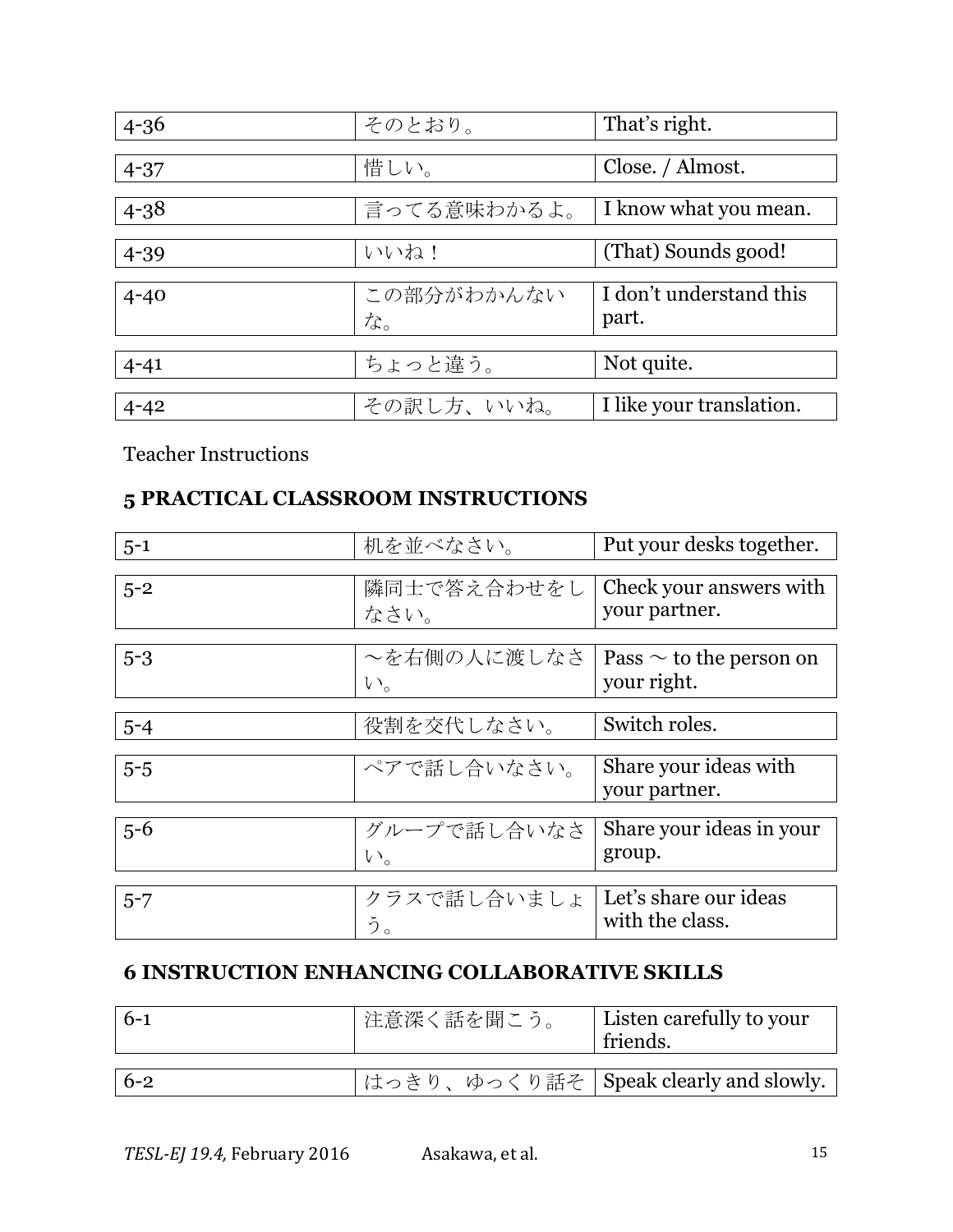| $4 - 36$ | そのとおり。      | That's right.            |
|----------|-------------|--------------------------|
|          |             |                          |
| $4 - 37$ | 惜しい。        | Close. / Almost.         |
|          |             |                          |
| $4 - 38$ | 言ってる意味わかるよ。 | I know what you mean.    |
|          |             |                          |
| $4 - 39$ | いいね!        | (That) Sounds good!      |
|          |             |                          |
| $4 - 40$ | この部分がわかんない  | I don't understand this  |
|          | な。          | part.                    |
|          |             |                          |
| $4 - 41$ | ちょっと違う。     | Not quite.               |
|          |             |                          |
| $4 - 42$ | その訳し方、いいね。  | I like your translation. |

Teacher Instructions

## **5 PRACTICAL CLASSROOM INSTRUCTIONS**

| $5 - 1$ | 机を並べなさい。    | Put your desks together.     |
|---------|-------------|------------------------------|
|         |             |                              |
| $5 - 2$ | 隣同士で答え合わせをし | Check your answers with      |
|         | なさい。        | your partner.                |
|         |             |                              |
| $5 - 3$ | ~を右側の人に渡しなさ | Pass $\sim$ to the person on |
|         | $V_{o}$     | your right.                  |
|         |             |                              |
| $5 - 4$ | 役割を交代しなさい。  | Switch roles.                |
|         |             |                              |
| $5-5$   | ペアで話し合いなさい。 | Share your ideas with        |
|         |             | your partner.                |
|         |             |                              |
| $5 - 6$ | グループで話し合いなさ | Share your ideas in your     |
|         | $V_{o}$     | group.                       |
|         |             |                              |
| $5 - 7$ | クラスで話し合いましょ | Let's share our ideas        |
|         | う。          | with the class.              |

## **6 INSTRUCTION ENHANCING COLLABORATIVE SKILLS**

| $6 - 1$ | ■注意深く話を聞こう。 | Listen carefully to your<br>friends.    |
|---------|-------------|-----------------------------------------|
|         |             |                                         |
| $6 - 2$ |             | はっきり、ゆっくり話そ   Speak clearly and slowly. |